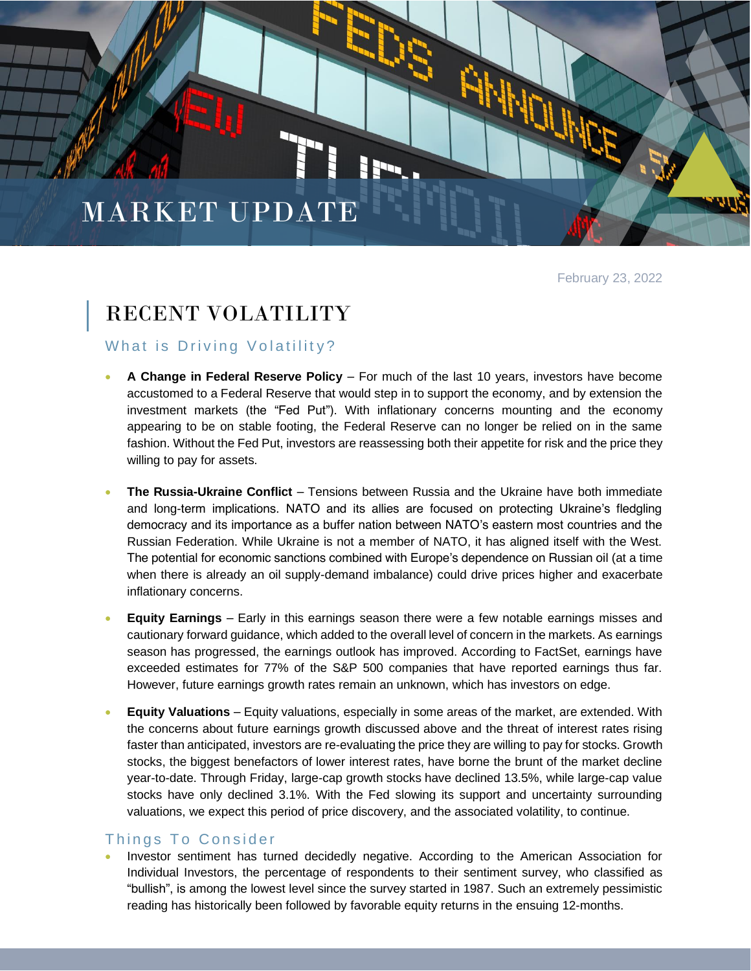# MARKET UPDATE

February 23, 2022

# RECENT VOLATILITY

## What is Driving Volatility?

- **A Change in Federal Reserve Policy** For much of the last 10 years, investors have become accustomed to a Federal Reserve that would step in to support the economy, and by extension the investment markets (the "Fed Put"). With inflationary concerns mounting and the economy appearing to be on stable footing, the Federal Reserve can no longer be relied on in the same fashion. Without the Fed Put, investors are reassessing both their appetite for risk and the price they willing to pay for assets.
- **The Russia-Ukraine Conflict** Tensions between Russia and the Ukraine have both immediate and long-term implications. NATO and its allies are focused on protecting Ukraine's fledgling democracy and its importance as a buffer nation between NATO's eastern most countries and the Russian Federation. While Ukraine is not a member of NATO, it has aligned itself with the West. The potential for economic sanctions combined with Europe's dependence on Russian oil (at a time when there is already an oil supply-demand imbalance) could drive prices higher and exacerbate inflationary concerns.
- **Equity Earnings** Early in this earnings season there were a few notable earnings misses and cautionary forward guidance, which added to the overall level of concern in the markets. As earnings season has progressed, the earnings outlook has improved. According to FactSet, earnings have exceeded estimates for 77% of the S&P 500 companies that have reported earnings thus far. However, future earnings growth rates remain an unknown, which has investors on edge.
- **Equity Valuations** Equity valuations, especially in some areas of the market, are extended. With the concerns about future earnings growth discussed above and the threat of interest rates rising faster than anticipated, investors are re-evaluating the price they are willing to pay for stocks. Growth stocks, the biggest benefactors of lower interest rates, have borne the brunt of the market decline year-to-date. Through Friday, large-cap growth stocks have declined 13.5%, while large-cap value stocks have only declined 3.1%. With the Fed slowing its support and uncertainty surrounding valuations, we expect this period of price discovery, and the associated volatility, to continue.

### Things To Consider

• Investor sentiment has turned decidedly negative. According to the American Association for Individual Investors, the percentage of respondents to their sentiment survey, who classified as "bullish", is among the lowest level since the survey started in 1987. Such an extremely pessimistic reading has historically been followed by favorable equity returns in the ensuing 12-months.